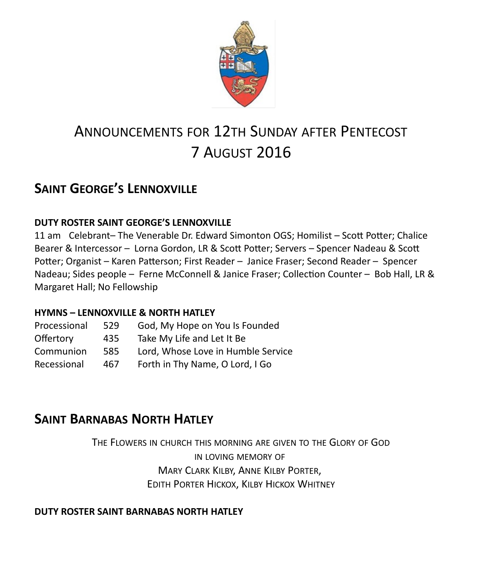

# ANNOUNCEMENTS FOR 12TH SUNDAY AFTER PENTECOST 7 AUGUST 2016

# **SAINT GEORGE'S LENNOXVILLE**

#### **DUTY ROSTER SAINT GEORGE'S LENNOXVILLE**

11 am Celebrant– The Venerable Dr. Edward Simonton OGS; Homilist – Scott Potter; Chalice Bearer & Intercessor – Lorna Gordon, LR & Scott Potter; Servers – Spencer Nadeau & Scott Potter; Organist – Karen Patterson; First Reader – Janice Fraser; Second Reader – Spencer Nadeau; Sides people – Ferne McConnell & Janice Fraser; Collection Counter – Bob Hall, LR & Margaret Hall; No Fellowship

#### **HYMNS – LENNOXVILLE & NORTH HATLEY**

| Processional | 529 | God, My Hope on You Is Founded     |
|--------------|-----|------------------------------------|
| Offertory    | 435 | Take My Life and Let It Be         |
| Communion    | 585 | Lord, Whose Love in Humble Service |
| Recessional  | 467 | Forth in Thy Name, O Lord, I Go    |
|              |     |                                    |

### **SAINT BARNABAS NORTH HATLEY**

THE FLOWERS IN CHURCH THIS MORNING ARE GIVEN TO THE GLORY OF GOD IN LOVING MEMORY OF MARY CLARK KILBY, ANNE KILBY PORTER, EDITH PORTER HICKOX, KILBY HICKOX WHITNEY

#### **DUTY ROSTER SAINT BARNABAS NORTH HATLEY**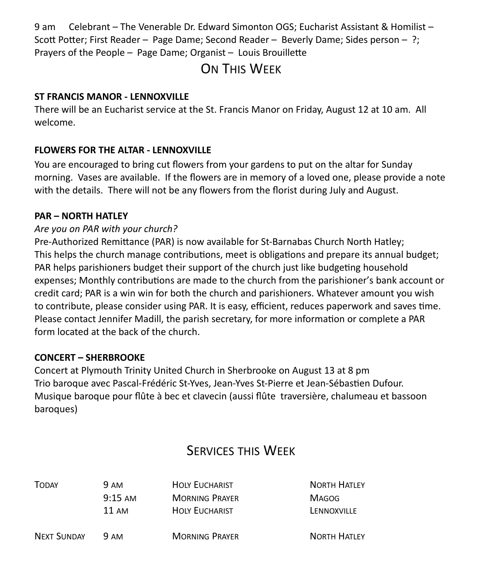9 am Celebrant – The Venerable Dr. Edward Simonton OGS; Eucharist Assistant & Homilist – Scott Potter; First Reader – Page Dame; Second Reader – Beverly Dame; Sides person – ?; Prayers of the People – Page Dame; Organist – Louis Brouillette

# ON THIS WEEK

#### **ST FRANCIS MANOR - LENNOXVILLE**

There will be an Eucharist service at the St. Francis Manor on Friday, August 12 at 10 am. All welcome.

#### **FLOWERS FOR THE ALTAR - LENNOXVILLE**

You are encouraged to bring cut flowers from your gardens to put on the altar for Sunday morning. Vases are available. If the flowers are in memory of a loved one, please provide a note with the details. There will not be any flowers from the florist during July and August.

#### **PAR – NORTH HATLEY**

#### *Are you on PAR with your church?*

Pre-Authorized Remittance (PAR) is now available for St-Barnabas Church North Hatley; This helps the church manage contributions, meet is obligations and prepare its annual budget; PAR helps parishioners budget their support of the church just like budgeting household expenses; Monthly contributions are made to the church from the parishioner's bank account or credit card; PAR is a win win for both the church and parishioners. Whatever amount you wish to contribute, please consider using PAR. It is easy, efficient, reduces paperwork and saves time. Please contact Jennifer Madill, the parish secretary, for more information or complete a PAR form located at the back of the church.

#### **CONCERT – SHERBROOKE**

Concert at Plymouth Trinity United Church in Sherbrooke on August 13 at 8 pm Trio baroque avec Pascal-Frédéric St-Yves, Jean-Yves St-Pierre et Jean-Sébastien Dufour. Musique baroque pour flûte à bec et clavecin (aussi flûte traversière, chalumeau et bassoon baroques)

### SERVICES THIS WEEK

| <b>TODAY</b>       | <b>9 AM</b>       | <b>HOLY EUCHARIST</b> | <b>NORTH HATLEY</b> |
|--------------------|-------------------|-----------------------|---------------------|
|                    | $9:15 \text{ AM}$ | <b>MORNING PRAYER</b> | <b>MAGOG</b>        |
|                    | 11 AM             | <b>HOLY EUCHARIST</b> | LENNOXVILLE         |
| <b>NEXT SUNDAY</b> | 9 AM              | <b>MORNING PRAYER</b> | <b>NORTH HATLEY</b> |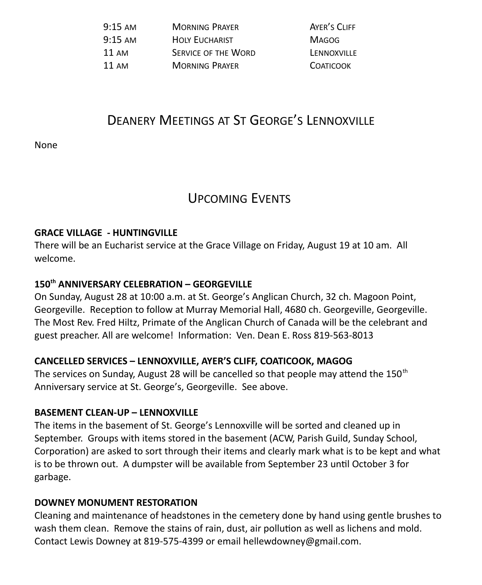| $9:15 \text{ AM}$ | <b>MORNING PRAYER</b>      | AYER'S CLIFF     |
|-------------------|----------------------------|------------------|
| $9:15 \text{ AM}$ | <b>HOLY EUCHARIST</b>      | <b>MAGOG</b>     |
| 11 AM             | <b>SERVICE OF THE WORD</b> | LENNOXVILLE      |
| 11 AM             | <b>MORNING PRAYER</b>      | <b>COATICOOK</b> |

# DEANERY MEETINGS AT ST GEORGE'S LENNOXVILLE

None

### UPCOMING EVENTS

#### **GRACE VILLAGE - HUNTINGVILLE**

There will be an Eucharist service at the Grace Village on Friday, August 19 at 10 am. All welcome.

### **150th ANNIVERSARY CELEBRATION – GEORGEVILLE**

On Sunday, August 28 at 10:00 a.m. at St. George's Anglican Church, 32 ch. Magoon Point, Georgeville. Reception to follow at Murray Memorial Hall, 4680 ch. Georgeville, Georgeville. The Most Rev. Fred Hiltz, Primate of the Anglican Church of Canada will be the celebrant and guest preacher. All are welcome! Information: Ven. Dean E. Ross 819-563-8013

#### **CANCELLED SERVICES – LENNOXVILLE, AYER'S CLIFF, COATICOOK, MAGOG**

The services on Sunday, August 28 will be cancelled so that people may attend the 150<sup>th</sup> Anniversary service at St. George's, Georgeville. See above.

#### **BASEMENT CLEAN-UP – LENNOXVILLE**

The items in the basement of St. George's Lennoxville will be sorted and cleaned up in September. Groups with items stored in the basement (ACW, Parish Guild, Sunday School, Corporation) are asked to sort through their items and clearly mark what is to be kept and what is to be thrown out. A dumpster will be available from September 23 until October 3 for garbage.

#### **DOWNEY MONUMENT RESTORATION**

Cleaning and maintenance of headstones in the cemetery done by hand using gentle brushes to wash them clean. Remove the stains of rain, dust, air pollution as well as lichens and mold. Contact Lewis Downey at 819-575-4399 or email hellewdowney@gmail.com.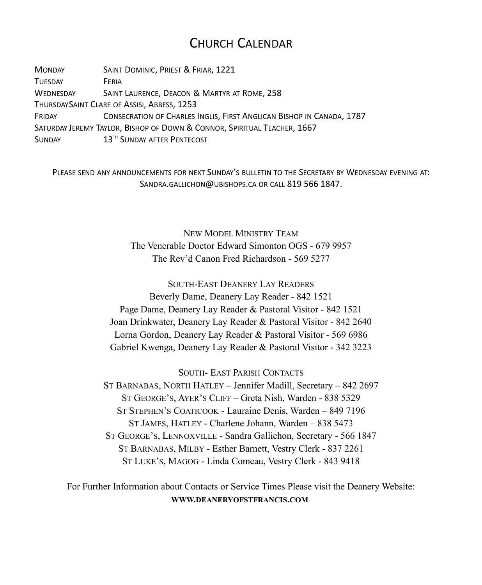### CHURCH CALENDAR

MONDAY SAINT DOMINIC, PRIEST & FRIAR, 1221 TUESDAY **FERIA** WEDNESDAY SAINT LAURENCE, DEACON & MARTYR AT ROME, 258 THURSDAYSAINT CLARE OF ASSISI, ABBESS, 1253 FRIDAY CONSECRATION OF CHARLES INGLIS, FIRST ANGLICAN BISHOP IN CANADA, 1787 SATURDAY JEREMY TAYLOR, BISHOP OF DOWN & CONNOR, SPIRITUAL TEACHER, 1667 SUNDAY 13<sup>TH</sup> SUNDAY AFTER PENTECOST

PLEASE SEND ANY ANNOUNCEMENTS FOR NEXT SUNDAY'S BULLETIN TO THE SECRETARY BY WEDNESDAY EVENING AT: SANDRA.GALLICHON@UBISHOPS.CA OR CALL 819 566 1847.

> NEW MODEL MINISTRY TEAM The Venerable Doctor Edward Simonton OGS - 679 9957 The Rev'd Canon Fred Richardson - 569 5277

SOUTH-EAST DEANERY LAY READERS Beverly Dame, Deanery Lay Reader - 842 1521 Page Dame, Deanery Lay Reader & Pastoral Visitor - 842 1521 Joan Drinkwater, Deanery Lay Reader & Pastoral Visitor - 842 2640 Lorna Gordon, Deanery Lay Reader & Pastoral Visitor - 569 6986 Gabriel Kwenga, Deanery Lay Reader & Pastoral Visitor - 342 3223

SOUTH- EAST PARISH CONTACTS

ST BARNABAS, NORTH HATLEY – Jennifer Madill, Secretary – 842 2697 ST GEORGE'S, AYER'S CLIFF – Greta Nish, Warden - 838 5329 ST STEPHEN'S COATICOOK - Lauraine Denis, Warden – 849 7196 ST JAMES, HATLEY - Charlene Johann, Warden – 838 5473 ST GEORGE'S, LENNOXVILLE - Sandra Gallichon, Secretary - 566 1847 ST BARNABAS, MILBY - Esther Barnett, Vestry Clerk - 837 2261 ST LUKE'S, MAGOG - Linda Comeau, Vestry Clerk - 843 9418

For Further Information about Contacts or Service Times Please visit the Deanery Website: **WWW.DEANERYOFSTFRANCIS.COM**